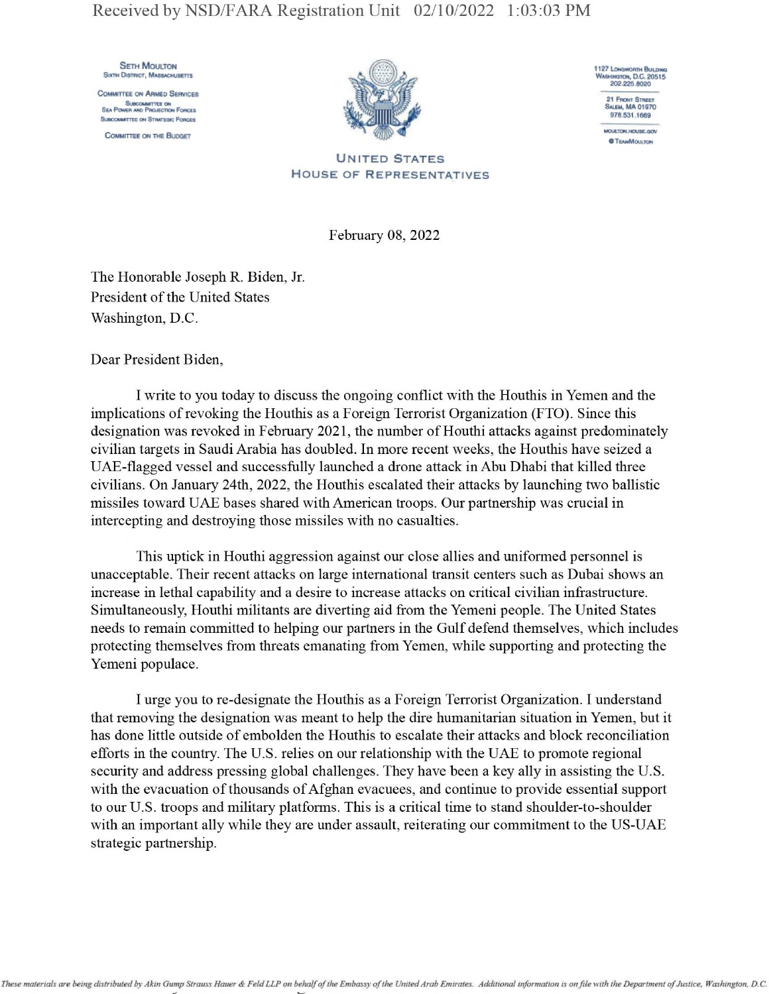**SETH MOULTON** SIXTH DISTRICT, MASSACHUSETTS

**COMMITTEE ON ARMED SERVICES** SUBCOMMTTEE ON<br>Sea Power and Projection Forces SubcomerTTEE OH STRATEGIC FORCES





**OTEAMMCULTON** 

United States House of Representatives

February 08, 2022

The Honorable Joseph R. Biden, Jr. President of the United States Washington, D.C.

Dear President Biden,

I write to you today to discuss the ongoing conflict with the Houthis in Yemen and the implications of revoking the Houthis as a Foreign Terrorist Organization (FTO). Since this designation was revoked in February 2021, the number of Houthi attacks against predominately civilian targets in Saudi Arabia has doubled. In more recent weeks, the Houthis have seized a UAE-flagged vessel and successfully launched a drone attack in Abu Dhabi that killed three civilians. On January 24th, 2022, the Houthis escalated their attacks by launching two ballistic missiles toward UAE bases shared with American troops. Our partnership was crucial in intercepting and destroying those missiles with no casualties.

This uptick in Houthi aggression against our close allies and uniformed personnel is unacceptable. Their recent attacks on large international transit centers such as Dubai shows an increase in lethal capability and a desire to increase attacks on critical civilian infrastructure. Simultaneously, Houthi militants are diverting aid from the Yemeni people. The United States needs to remain committed to helping our partners in the Gulf defend themselves, which includes protecting themselves from threats emanating from Yemen, while supporting and protecting the Yemeni populace.

I urge you to re-designate the Houthis as a Foreign Terrorist Organization. I understand that removing the designation was meant to help the dire humanitarian situation in Yemen, but it has done little outside of embolden the Houthis to escalate their attacks and block reconciliation efforts in the country. The U.S. relies on our relationship with the UAE to promote regional security and address pressing global challenges. They have been a key ally in assisting the U.S. with the evacuation of thousands of Afghan evacuees, and continue to provide essential support to our U.S. troops and military platforms. This is a critical time to stand shoulder-to-shoulder with an important ally while they are under assault, reiterating our commitment to the US-UAE strategic partnership.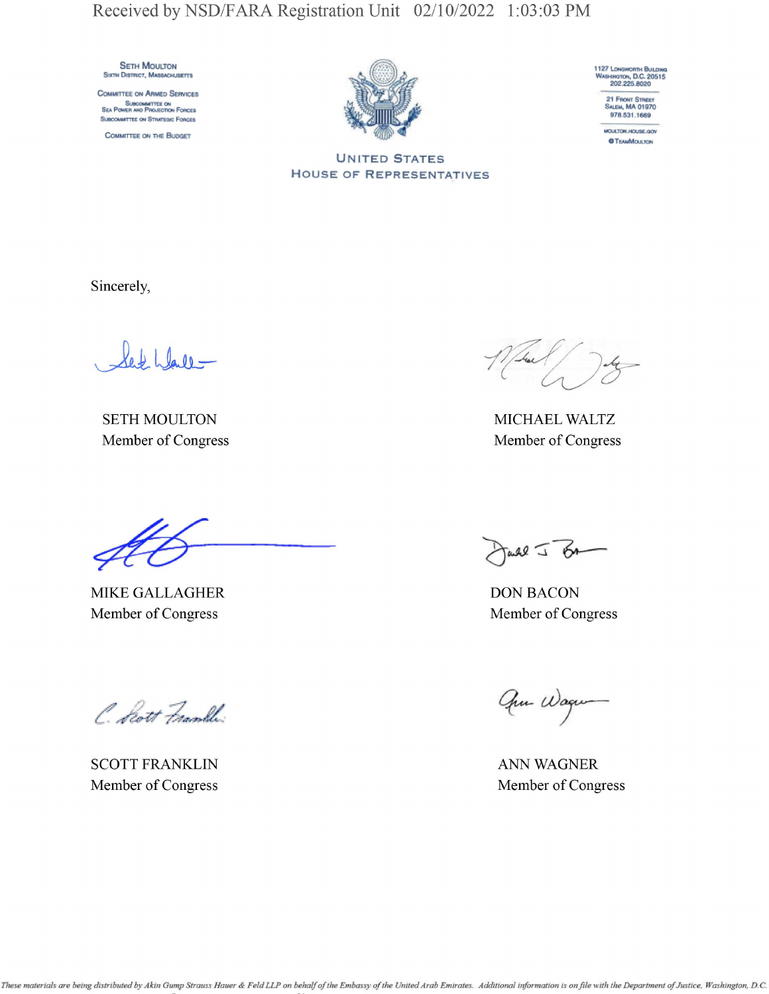**SETH MOULTON** SIXTH DISTRICT, MASSACHUSETTS

COMMITTEE ON ARMED SERVICES SUBCOMMITTEE ON SEA POWER AND PROJECTION FORCES SUBCOMMITTEE ON STRATEGIC FORCES

COMMITTEE ON THE BUDGET



1127 LONGWORTH BULDING<br>WASHINGTON, D.C. 20515<br>202,225.8020 21 FRONT STREET<br>SALEM, MA 01970

978.531.1669 MOULTON, HOUSE, GOV **OTEAMMOULTON** 

**UNITED STATES HOUSE OF REPRESENTATIVES** 

Sincerely,

Set Wall -

**SETH MOULTON** Member of Congress

MIKE GALLAGHER Member of Congress

C. Scott Frankli

**SCOTT FRANKLIN** Member of Congress

MICHAEL WALTZ Member of Congress

Jarl J BA

**DON BACON** Member of Congress

Que Wagne

**ANN WAGNER** Member of Congress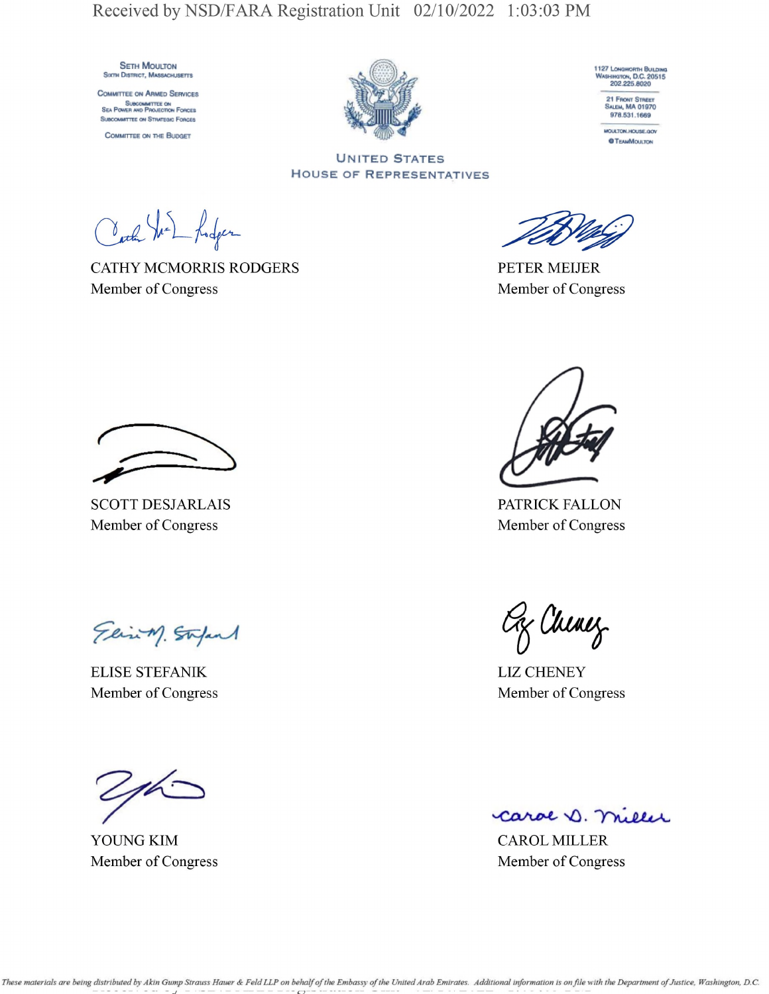**SETH MOULTON** SIXTH DISTRICT, MASSACHUSETTS

COMMITTEE ON ARMED SERVICES SUBCOMMITTEE ON SEA POWER AND PROJECTION FORCES SUBCOMMITTEE ON STRATEGIC FORCES

COMMITTEE ON THE BUDGET





978.531.1669 MOULTON, HOUSE, GOV

**OTEAMMOULTON** 

**UNITED STATES HOUSE OF REPRESENTATIVES** 

Carl Vie Lodger

**CATHY MCMORRIS RODGERS** Member of Congress

**PETER MEIJER** Member of Congress

**SCOTT DESJARLAIS** Member of Congress

Elisin Stepart

**ELISE STEFANIK** Member of Congress

YOUNG KIM Member of Congress

PATRICK FALLON Member of Congress

Ox Chinez

**LIZ CHENEY** Member of Congress

caroe D. Miller

**CAROL MILLER** Member of Congress

These materials are being distributed by Akin Gump Strauss Hauer & Feld LLP on behalf of the Embassy of the United Arab Emirates. Additional information is on file with the Department of Justice, Washington, D.C.